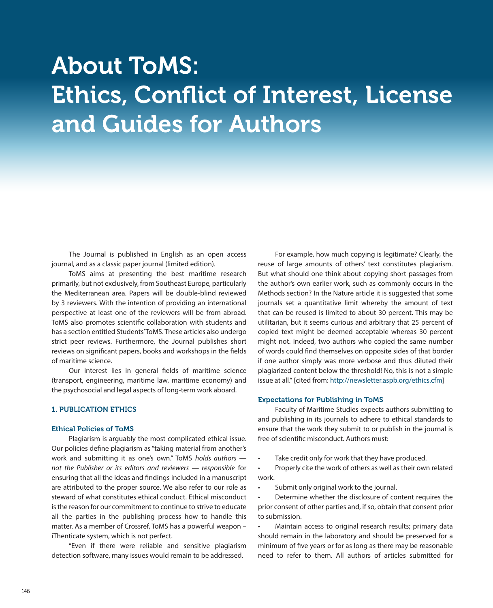# About ToMS: Ethics, Conflict of Interest, License and Guides for Authors

The Journal is published in English as an open access journal, and as a classic paper journal (limited edition).

ToMS aims at presenting the best maritime research primarily, but not exclusively, from Southeast Europe, particularly the Mediterranean area. Papers will be double-blind reviewed by 3 reviewers. With the intention of providing an international perspective at least one of the reviewers will be from abroad. ToMS also promotes scientific collaboration with students and has a section entitled Students' ToMS. These articles also undergo strict peer reviews. Furthermore, the Journal publishes short reviews on significant papers, books and workshops in the fields of maritime science.

Our interest lies in general fields of maritime science (transport, engineering, maritime law, maritime economy) and the psychosocial and legal aspects of long-term work aboard.

# 1. PUBLICATION ETHICS

# Ethical Policies of ToMS

Plagiarism is arguably the most complicated ethical issue. Our policies define plagiarism as "taking material from another's work and submitting it as one's own." ToMS *holds authors not the Publisher or its editors and reviewers — responsible* for ensuring that all the ideas and findings included in a manuscript are attributed to the proper source. We also refer to our role as steward of what constitutes ethical conduct. Ethical misconduct is the reason for our commitment to continue to strive to educate all the parties in the publishing process how to handle this matter. As a member of Crossref, ToMS has a powerful weapon – iThenticate system, which is not perfect.

"Even if there were reliable and sensitive plagiarism detection software, many issues would remain to be addressed.

For example, how much copying is legitimate? Clearly, the reuse of large amounts of others' text constitutes plagiarism. But what should one think about copying short passages from the author's own earlier work, such as commonly occurs in the Methods section? In the Nature article it is suggested that some journals set a quantitative limit whereby the amount of text that can be reused is limited to about 30 percent. This may be utilitarian, but it seems curious and arbitrary that 25 percent of copied text might be deemed acceptable whereas 30 percent might not. Indeed, two authors who copied the same number of words could find themselves on opposite sides of that border if one author simply was more verbose and thus diluted their plagiarized content below the threshold! No, this is not a simple issue at all." [cited from: http://newsletter.aspb.org/ethics.cfm]

## Expectations for Publishing in ToMS

Faculty of Maritime Studies expects authors submitting to and publishing in its journals to adhere to ethical standards to ensure that the work they submit to or publish in the journal is free of scientific misconduct. Authors must:

- Take credit only for work that they have produced.
- • Properly cite the work of others as well as their own related work.
- Submit only original work to the journal.
- Determine whether the disclosure of content requires the prior consent of other parties and, if so, obtain that consent prior to submission.

Maintain access to original research results; primary data should remain in the laboratory and should be preserved for a minimum of five years or for as long as there may be reasonable need to refer to them. All authors of articles submitted for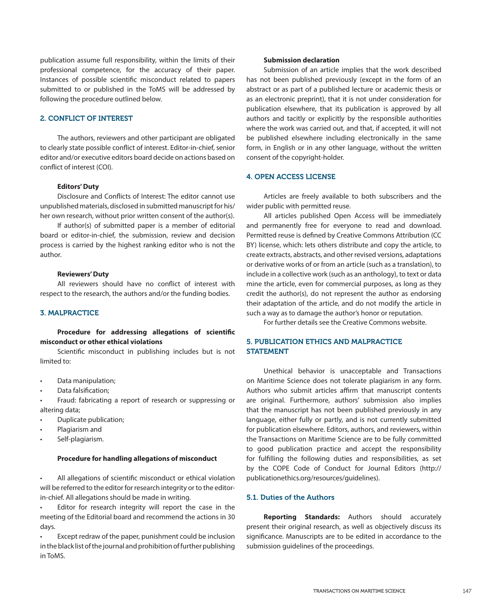publication assume full responsibility, within the limits of their professional competence, for the accuracy of their paper. Instances of possible scientific misconduct related to papers submitted to or published in the ToMS will be addressed by following the procedure outlined below.

# 2. CONFLICT OF INTEREST

The authors, reviewers and other participant are obligated to clearly state possible conflict of interest. Editor-in-chief, senior editor and/or executive editors board decide on actions based on conflict of interest (COI).

# **Editors' Duty**

Disclosure and Conflicts of Interest: The editor cannot use unpublished materials, disclosed in submitted manuscript for his/ her own research, without prior written consent of the author(s).

If author(s) of submitted paper is a member of editorial board or editor-in-chief, the submission, review and decision process is carried by the highest ranking editor who is not the author.

## **Reviewers' Duty**

All reviewers should have no conflict of interest with respect to the research, the authors and/or the funding bodies.

# 3. MALPRACTICE

# **Procedure for addressing allegations of scientific misconduct or other ethical violations**

Scientific misconduct in publishing includes but is not limited to:

- Data manipulation:
- Data falsification:
- Fraud: fabricating a report of research or suppressing or altering data;
- Duplicate publication;
- Plagiarism and
- Self-plagiarism.

# **Procedure for handling allegations of misconduct**

All allegations of scientific misconduct or ethical violation will be referred to the editor for research integrity or to the editorin-chief. All allegations should be made in writing.

Editor for research integrity will report the case in the meeting of the Editorial board and recommend the actions in 30 days.

Except redraw of the paper, punishment could be inclusion in the black list of the journal and prohibition of further publishing in ToMS.

#### **Submission declaration**

Submission of an article implies that the work described has not been published previously (except in the form of an abstract or as part of a published lecture or academic thesis or as an electronic preprint), that it is not under consideration for publication elsewhere, that its publication is approved by all authors and tacitly or explicitly by the responsible authorities where the work was carried out, and that, if accepted, it will not be published elsewhere including electronically in the same form, in English or in any other language, without the written consent of the copyright-holder.

# 4. OPEN ACCESS LICENSE

Articles are freely available to both subscribers and the wider public with permitted reuse.

All articles published Open Access will be immediately and permanently free for everyone to read and download. Permitted reuse is defined by Creative Commons Attribution (CC BY) license, which: lets others distribute and copy the article, to create extracts, abstracts, and other revised versions, adaptations or derivative works of or from an article (such as a translation), to include in a collective work (such as an anthology), to text or data mine the article, even for commercial purposes, as long as they credit the author(s), do not represent the author as endorsing their adaptation of the article, and do not modify the article in such a way as to damage the author's honor or reputation.

For further details see the Creative Commons website.

# 5. PUBLICATION ETHICS AND MALPRACTICE **STATEMENT**

Unethical behavior is unacceptable and Transactions on Maritime Science does not tolerate plagiarism in any form. Authors who submit articles affirm that manuscript contents are original. Furthermore, authors' submission also implies that the manuscript has not been published previously in any language, either fully or partly, and is not currently submitted for publication elsewhere. Editors, authors, and reviewers, within the Transactions on Maritime Science are to be fully committed to good publication practice and accept the responsibility for fulfilling the following duties and responsibilities, as set by the COPE Code of Conduct for Journal Editors (http:// publicationethics.org/resources/guidelines).

# 5.1. Duties of the Authors

**Reporting Standards:** Authors should accurately present their original research, as well as objectively discuss its significance. Manuscripts are to be edited in accordance to the submission guidelines of the proceedings.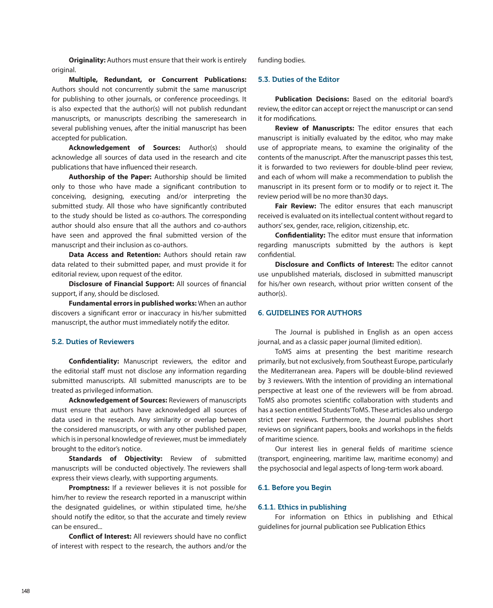**Originality:** Authors must ensure that their work is entirely original.

**Multiple, Redundant, or Concurrent Publications:**  Authors should not concurrently submit the same manuscript for publishing to other journals, or conference proceedings. It is also expected that the author(s) will not publish redundant manuscripts, or manuscripts describing the sameresearch in several publishing venues, after the initial manuscript has been accepted for publication.

**Acknowledgement of Sources:** Author(s) should acknowledge all sources of data used in the research and cite publications that have influenced their research.

**Authorship of the Paper:** Authorship should be limited only to those who have made a significant contribution to conceiving, designing, executing and/or interpreting the submitted study. All those who have significantly contributed to the study should be listed as co-authors. The corresponding author should also ensure that all the authors and co-authors have seen and approved the final submitted version of the manuscript and their inclusion as co-authors.

**Data Access and Retention:** Authors should retain raw data related to their submitted paper, and must provide it for editorial review, upon request of the editor.

**Disclosure of Financial Support:** All sources of financial support, if any, should be disclosed.

**Fundamental errors in published works:** When an author discovers a significant error or inaccuracy in his/her submitted manuscript, the author must immediately notify the editor.

# 5.2. Duties of Reviewers

**Confidentiality:** Manuscript reviewers, the editor and the editorial staff must not disclose any information regarding submitted manuscripts. All submitted manuscripts are to be treated as privileged information.

**Acknowledgement of Sources:** Reviewers of manuscripts must ensure that authors have acknowledged all sources of data used in the research. Any similarity or overlap between the considered manuscripts, or with any other published paper, which is in personal knowledge of reviewer, must be immediately brought to the editor's notice.

**Standards of Objectivity:** Review of submitted manuscripts will be conducted objectively. The reviewers shall express their views clearly, with supporting arguments.

**Promptness:** If a reviewer believes it is not possible for him/her to review the research reported in a manuscript within the designated guidelines, or within stipulated time, he/she should notify the editor, so that the accurate and timely review can be ensured...

**Conflict of Interest:** All reviewers should have no conflict of interest with respect to the research, the authors and/or the funding bodies.

# 5.3. Duties of the Editor

**Publication Decisions:** Based on the editorial board's review, the editor can accept or reject the manuscript or can send it for modifications.

**Review of Manuscripts:** The editor ensures that each manuscript is initially evaluated by the editor, who may make use of appropriate means, to examine the originality of the contents of the manuscript. After the manuscript passes this test, it is forwarded to two reviewers for double-blind peer review, and each of whom will make a recommendation to publish the manuscript in its present form or to modify or to reject it. The review period will be no more than30 days.

**Fair Review:** The editor ensures that each manuscript received is evaluated on its intellectual content without regard to authors' sex, gender, race, religion, citizenship, etc.

**Confidentiality:** The editor must ensure that information regarding manuscripts submitted by the authors is kept confidential.

**Disclosure and Conflicts of Interest:** The editor cannot use unpublished materials, disclosed in submitted manuscript for his/her own research, without prior written consent of the author(s).

## 6. GUIDELINES FOR AUTHORS

The Journal is published in English as an open access journal, and as a classic paper journal (limited edition).

ToMS aims at presenting the best maritime research primarily, but not exclusively, from Southeast Europe, particularly the Mediterranean area. Papers will be double-blind reviewed by 3 reviewers. With the intention of providing an international perspective at least one of the reviewers will be from abroad. ToMS also promotes scientific collaboration with students and has a section entitled Students' ToMS. These articles also undergo strict peer reviews. Furthermore, the Journal publishes short reviews on significant papers, books and workshops in the fields of maritime science.

Our interest lies in general fields of maritime science (transport, engineering, maritime law, maritime economy) and the psychosocial and legal aspects of long-term work aboard.

## 6.1. Before you Begin

## 6.1.1. Ethics in publishing

For information on Ethics in publishing and Ethical guidelines for journal publication see Publication Ethics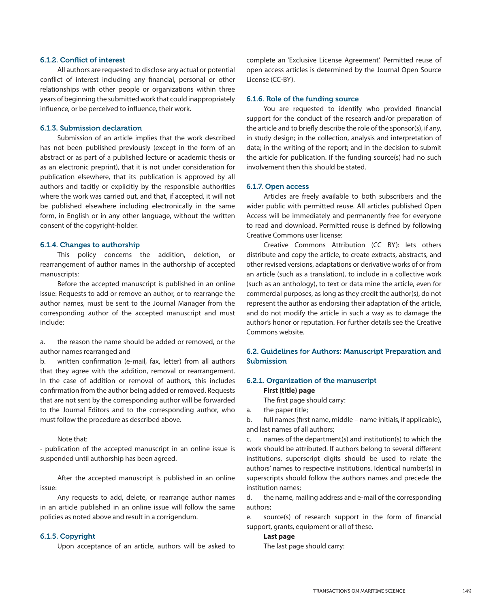## 6.1.2. Conflict of interest

All authors are requested to disclose any actual or potential conflict of interest including any financial, personal or other relationships with other people or organizations within three years of beginning the submitted work that could inappropriately influence, or be perceived to influence, their work.

# 6.1.3. Submission declaration

Submission of an article implies that the work described has not been published previously (except in the form of an abstract or as part of a published lecture or academic thesis or as an electronic preprint), that it is not under consideration for publication elsewhere, that its publication is approved by all authors and tacitly or explicitly by the responsible authorities where the work was carried out, and that, if accepted, it will not be published elsewhere including electronically in the same form, in English or in any other language, without the written consent of the copyright-holder.

#### 6.1.4. Changes to authorship

This policy concerns the addition, deletion, or rearrangement of author names in the authorship of accepted manuscripts:

Before the accepted manuscript is published in an online issue: Requests to add or remove an author, or to rearrange the author names, must be sent to the Journal Manager from the corresponding author of the accepted manuscript and must include:

a. the reason the name should be added or removed, or the author names rearranged and

b. written confirmation (e-mail, fax, letter) from all authors that they agree with the addition, removal or rearrangement. In the case of addition or removal of authors, this includes confirmation from the author being added or removed. Requests that are not sent by the corresponding author will be forwarded to the Journal Editors and to the corresponding author, who must follow the procedure as described above.

# Note that:

- publication of the accepted manuscript in an online issue is suspended until authorship has been agreed.

After the accepted manuscript is published in an online issue:

Any requests to add, delete, or rearrange author names in an article published in an online issue will follow the same policies as noted above and result in a corrigendum.

#### 6.1.5. Copyright

Upon acceptance of an article, authors will be asked to

complete an 'Exclusive License Agreement'. Permitted reuse of open access articles is determined by the Journal Open Source License (CC-BY).

## 6.1.6. Role of the funding source

You are requested to identify who provided financial support for the conduct of the research and/or preparation of the article and to briefly describe the role of the sponsor(s), if any, in study design; in the collection, analysis and interpretation of data; in the writing of the report; and in the decision to submit the article for publication. If the funding source(s) had no such involvement then this should be stated.

## 6.1.7. Open access

Articles are freely available to both subscribers and the wider public with permitted reuse. All articles published Open Access will be immediately and permanently free for everyone to read and download. Permitted reuse is defined by following Creative Commons user license:

Creative Commons Attribution (CC BY): lets others distribute and copy the article, to create extracts, abstracts, and other revised versions, adaptations or derivative works of or from an article (such as a translation), to include in a collective work (such as an anthology), to text or data mine the article, even for commercial purposes, as long as they credit the author(s), do not represent the author as endorsing their adaptation of the article, and do not modify the article in such a way as to damage the author's honor or reputation. For further details see the Creative Commons website.

# 6.2. Guidelines for Authors: Manuscript Preparation and Submission

# 6.2.1. Organization of the manuscript

**First (title) page**

The first page should carry:

a. the paper title;

b. full names (first name, middle – name initials, if applicable), and last names of all authors;

c. names of the department(s) and institution(s) to which the work should be attributed. If authors belong to several different institutions, superscript digits should be used to relate the authors' names to respective institutions. Identical number(s) in superscripts should follow the authors names and precede the institution names;

d. the name, mailing address and e-mail of the corresponding authors;

e. source(s) of research support in the form of financial support, grants, equipment or all of these.

#### **Last page**

The last page should carry: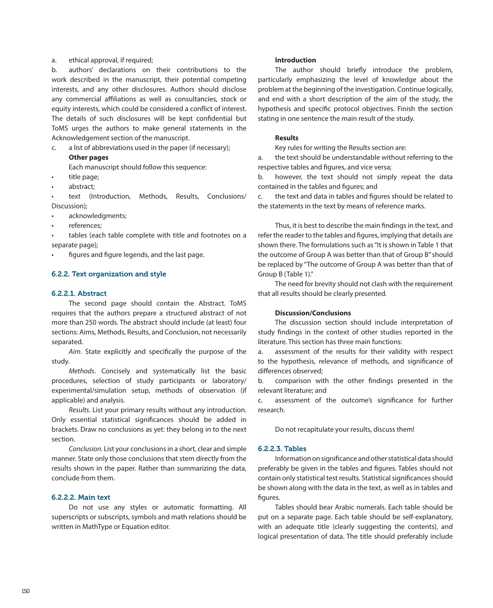## a. ethical approval, if required;

b. authors' declarations on their contributions to the work described in the manuscript, their potential competing interests, and any other disclosures. Authors should disclose any commercial affiliations as well as consultancies, stock or equity interests, which could be considered a conflict of interest. The details of such disclosures will be kept confidential but ToMS urges the authors to make general statements in the Acknowledgement section of the manuscript.

c. a list of abbreviations used in the paper (if necessary);

# **Other pages**

Each manuscript should follow this sequence:

- title page;
- abstract:

text (Introduction, Methods, Results, Conclusions/ Discussion);

- • acknowledgments;
- references:

tables (each table complete with title and footnotes on a separate page);

figures and figure legends, and the last page.

# 6.2.2. Text organization and style

## 6.2.2.1. Abstract

The second page should contain the Abstract. ToMS requires that the authors prepare a structured abstract of not more than 250 words. The abstract should include (at least) four sections: Aims, Methods, Results, and Conclusion, not necessarily separated.

*Aim*. State explicitly and specifically the purpose of the study.

*Methods*. Concisely and systematically list the basic procedures, selection of study participants or laboratory/ experimental/simulation setup, methods of observation (if applicable) and analysis.

*Results*. List your primary results without any introduction. Only essential statistical significances should be added in brackets. Draw no conclusions as yet: they belong in to the next section.

*Conclusion*. List your conclusions in a short, clear and simple manner. State only those conclusions that stem directly from the results shown in the paper. Rather than summarizing the data, conclude from them.

# 6.2.2.2. Main text

Do not use any styles or automatic formatting. All superscripts or subscripts, symbols and math relations should be written in MathType or Equation editor.

## **Introduction**

The author should briefly introduce the problem, particularly emphasizing the level of knowledge about the problem at the beginning of the investigation. Continue logically, and end with a short description of the aim of the study, the hypothesis and specific protocol objectives. Finish the section stating in one sentence the main result of the study.

# **Results**

Key rules for writing the Results section are:

a. the text should be understandable without referring to the respective tables and figures, and vice versa;

b. however, the text should not simply repeat the data contained in the tables and figures; and

c. the text and data in tables and figures should be related to the statements in the text by means of reference marks.

Thus, it is best to describe the main findings in the text, and refer the reader to the tables and figures, implying that details are shown there. The formulations such as "It is shown in Table 1 that the outcome of Group A was better than that of Group B" should be replaced by "The outcome of Group A was better than that of Group B (Table 1)."

The need for brevity should not clash with the requirement that all results should be clearly presented.

# **Discussion/Conclusions**

The discussion section should include interpretation of study findings in the context of other studies reported in the literature. This section has three main functions:

a. assessment of the results for their validity with respect to the hypothesis, relevance of methods, and significance of differences observed;

b. comparison with the other findings presented in the relevant literature; and

c. assessment of the outcome's significance for further research.

Do not recapitulate your results, discuss them!

# 6.2.2.3. Tables

Information on significance and other statistical data should preferably be given in the tables and figures. Tables should not contain only statistical test results. Statistical significances should be shown along with the data in the text, as well as in tables and figures.

Tables should bear Arabic numerals. Each table should be put on a separate page. Each table should be self-explanatory, with an adequate title (clearly suggesting the contents), and logical presentation of data. The title should preferably include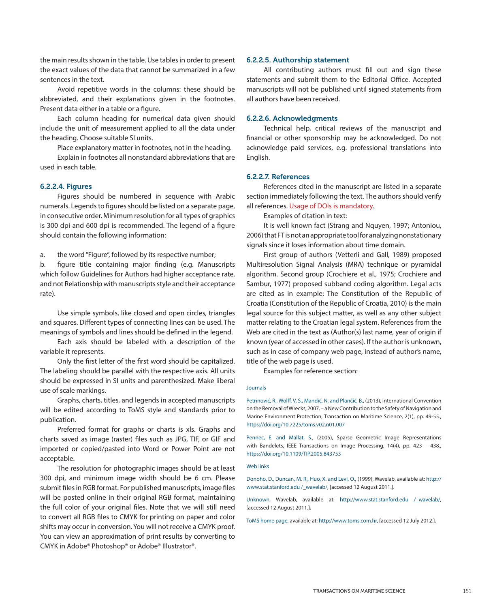the main results shown in the table. Use tables in order to present the exact values of the data that cannot be summarized in a few sentences in the text.

Avoid repetitive words in the columns: these should be abbreviated, and their explanations given in the footnotes. Present data either in a table or a figure.

Each column heading for numerical data given should include the unit of measurement applied to all the data under the heading. Choose suitable SI units.

Place explanatory matter in footnotes, not in the heading.

Explain in footnotes all nonstandard abbreviations that are used in each table.

## 6.2.2.4. Figures

Figures should be numbered in sequence with Arabic numerals. Legends to figures should be listed on a separate page, in consecutive order. Minimum resolution for all types of graphics is 300 dpi and 600 dpi is recommended. The legend of a figure should contain the following information:

a. the word "Figure", followed by its respective number;

b. figure title containing major finding (e.g. Manuscripts which follow Guidelines for Authors had higher acceptance rate, and not Relationship with manuscripts style and their acceptance rate).

Use simple symbols, like closed and open circles, triangles and squares. Different types of connecting lines can be used. The meanings of symbols and lines should be defined in the legend.

Each axis should be labeled with a description of the variable it represents.

Only the first letter of the first word should be capitalized. The labeling should be parallel with the respective axis. All units should be expressed in SI units and parenthesized. Make liberal use of scale markings.

Graphs, charts, titles, and legends in accepted manuscripts will be edited according to ToMS style and standards prior to publication.

Preferred format for graphs or charts is xls. Graphs and charts saved as image (raster) files such as JPG, TIF, or GIF and imported or copied/pasted into Word or Power Point are not acceptable.

The resolution for photographic images should be at least 300 dpi, and minimum image width should be 6 cm. Please submit files in RGB format. For published manuscripts, image files will be posted online in their original RGB format, maintaining the full color of your original files. Note that we will still need to convert all RGB files to CMYK for printing on paper and color shifts may occur in conversion. You will not receive a CMYK proof. You can view an approximation of print results by converting to CMYK in Adobe® Photoshop® or Adobe® Illustrator®.

#### 6.2.2.5. Authorship statement

All contributing authors must fill out and sign these statements and submit them to the Editorial Office. Accepted manuscripts will not be published until signed statements from all authors have been received.

#### 6.2.2.6. Acknowledgments

Technical help, critical reviews of the manuscript and financial or other sponsorship may be acknowledged. Do not acknowledge paid services, e.g. professional translations into English.

# 6.2.2.7. References

References cited in the manuscript are listed in a separate section immediately following the text. The authors should verify all references. Usage of DOIs is mandatory.

Examples of citation in text:

It is well known fact (Strang and Nquyen, 1997; Antoniou, 2006) that FT is not an appropriate tool for analyzing nonstationary signals since it loses information about time domain.

First group of authors (Vetterli and Gall, 1989) proposed Multiresolution Signal Analysis (MRA) technique or pyramidal algorithm. Second group (Crochiere et al., 1975; Crochiere and Sambur, 1977) proposed subband coding algorithm. Legal acts are cited as in example: The Constitution of the Republic of Croatia (Constitution of the Republic of Croatia, 2010) is the main legal source for this subject matter, as well as any other subject matter relating to the Croatian legal system. References from the Web are cited in the text as (Author(s) last name, year of origin if known (year of accessed in other cases). If the author is unknown, such as in case of company web page, instead of author's name, title of the web page is used.

Examples for reference section:

#### Journals

Petrinović, R., Wolff, V. S., Mandić, N. and Plančić, B., (2013), International Convention on the Removal of Wrecks, 2007. – a New Contribution to the Safety of Navigation and Marine Environment Protection, Transaction on Maritime Science, 2(1), pp. 49-55., https://doi.org/10.7225/toms.v02.n01.007

Pennec, E. and Mallat, S., (2005), Sparse Geometric Image Representations with Bandelets, IEEE Transactions on Image Processing, 14(4), pp. 423 – 438., https://doi.org/10.1109/TIP.2005.843753

#### Web links

Donoho, D., Duncan, M. R., Huo, X. and Levi, O., (1999), Wavelab, available at: http:// www.stat.stanford.edu /\_wavelab/, [accessed 12 August 2011.].

Unknown, Wavelab, available at: http://www.stat.stanford.edu /\_wavelab/, [accessed 12 August 2011.].

ToMS home page, available at: http://www.toms.com.hr, [accessed 12 July 2012.].